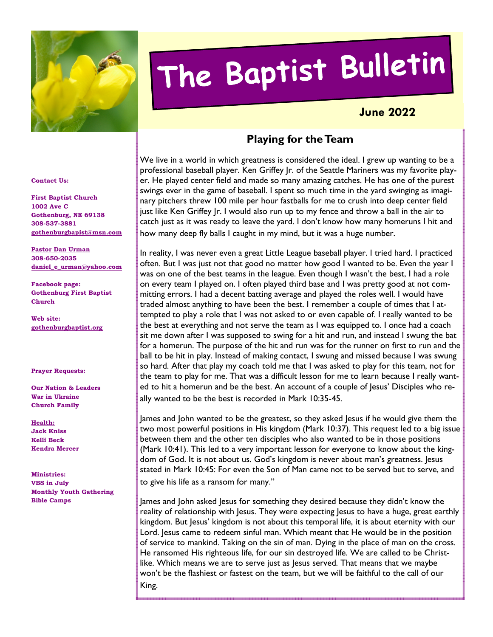

# The Baptist Bulletin

## **June 2022**

## **Playing for the Team**

We live in a world in which greatness is considered the ideal. I grew up wanting to be a professional baseball player. Ken Griffey Jr. of the Seattle Mariners was my favorite player. He played center field and made so many amazing catches. He has one of the purest swings ever in the game of baseball. I spent so much time in the yard swinging as imaginary pitchers threw 100 mile per hour fastballs for me to crush into deep center field just like Ken Griffey Jr. I would also run up to my fence and throw a ball in the air to catch just as it was ready to leave the yard. I don't know how many homeruns I hit and how many deep fly balls I caught in my mind, but it was a huge number.

In reality, I was never even a great Little League baseball player. I tried hard. I practiced often. But I was just not that good no matter how good I wanted to be. Even the year I was on one of the best teams in the league. Even though I wasn't the best, I had a role on every team I played on. I often played third base and I was pretty good at not committing errors. I had a decent batting average and played the roles well. I would have traded almost anything to have been the best. I remember a couple of times that I attempted to play a role that I was not asked to or even capable of. I really wanted to be the best at everything and not serve the team as I was equipped to. I once had a coach sit me down after I was supposed to swing for a hit and run, and instead I swung the bat for a homerun. The purpose of the hit and run was for the runner on first to run and the ball to be hit in play. Instead of making contact, I swung and missed because I was swung so hard. After that play my coach told me that I was asked to play for this team, not for the team to play for me. That was a difficult lesson for me to learn because I really wanted to hit a homerun and be the best. An account of a couple of Jesus' Disciples who really wanted to be the best is recorded in Mark 10:35-45.

James and John wanted to be the greatest, so they asked Jesus if he would give them the two most powerful positions in His kingdom (Mark 10:37). This request led to a big issue between them and the other ten disciples who also wanted to be in those positions (Mark 10:41). This led to a very important lesson for everyone to know about the kingdom of God. It is not about us. God's kingdom is never about man's greatness. Jesus stated in Mark 10:45: For even the Son of Man came not to be served but to serve, and to give his life as a ransom for many."

James and John asked Jesus for something they desired because they didn't know the reality of relationship with Jesus. They were expecting Jesus to have a huge, great earthly kingdom. But Jesus' kingdom is not about this temporal life, it is about eternity with our Lord. Jesus came to redeem sinful man. Which meant that He would be in the position of service to mankind. Taking on the sin of man. Dying in the place of man on the cross. He ransomed His righteous life, for our sin destroyed life. We are called to be Christlike. Which means we are to serve just as Jesus served. That means that we maybe won't be the flashiest or fastest on the team, but we will be faithful to the call of our King.

#### **Contact Us:**

**First Baptist Church 1002 Ave C Gothenburg, NE 69138 308-537-3881 gothenburgbapist@msn.com**

**Pastor Dan Urman 308-650-2035 daniel\_e\_urman@yahoo.com**

**Facebook page: Gothenburg First Baptist Church** 

**Web site: gothenburgbaptist.org** 

#### **Prayer Requests:**

**Our Nation & Leaders War in Ukraine Church Family** 

**Health: Jack Kniss Kelli Beck Kendra Mercer** 

**Ministries: VBS in July Monthly Youth Gathering Bible Camps**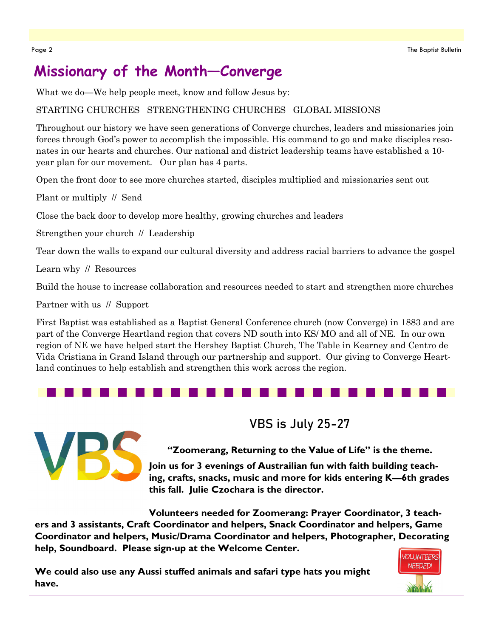# **Missionary of the Month—Converge**

What we do—We help people meet, know and follow Jesus by:

#### STARTING CHURCHES STRENGTHENING CHURCHES GLOBAL MISSIONS

Throughout our history we have seen generations of Converge churches, leaders and missionaries join forces through God's power to accomplish the impossible. His command to go and make disciples resonates in our hearts and churches. Our national and district leadership teams have established a 10 year plan for our movement. Our plan has 4 parts.

Open the front door to see more churches started, disciples multiplied and missionaries sent out

Plant or multiply // Send

Close the back door to develop more healthy, growing churches and leaders

Strengthen your church // Leadership

Tear down the walls to expand our cultural diversity and address racial barriers to advance the gospel

Learn why // Resources

Build the house to increase collaboration and resources needed to start and strengthen more churches

Partner with us // Support

First Baptist was established as a Baptist General Conference church (now Converge) in 1883 and are part of the Converge Heartland region that covers ND south into KS/ MO and all of NE. In our own region of NE we have helped start the Hershey Baptist Church, The Table in Kearney and Centro de Vida Cristiana in Grand Island through our partnership and support. Our giving to Converge Heartland continues to help establish and strengthen this work across the region.



**VBS is July 25-27** 

**"Zoomerang, Returning to the Value of Life" is the theme.** 

**Join us for 3 evenings of Austrailian fun with faith building teaching, crafts, snacks, music and more for kids entering K—6th grades this fall. Julie Czochara is the director.** 

**Volunteers needed for Zoomerang: Prayer Coordinator, 3 teachers and 3 assistants, Craft Coordinator and helpers, Snack Coordinator and helpers, Game Coordinator and helpers, Music/Drama Coordinator and helpers, Photographer, Decorating help, Soundboard. Please sign-up at the Welcome Center.** 

**We could also use any Aussi stuffed animals and safari type hats you might have.** 

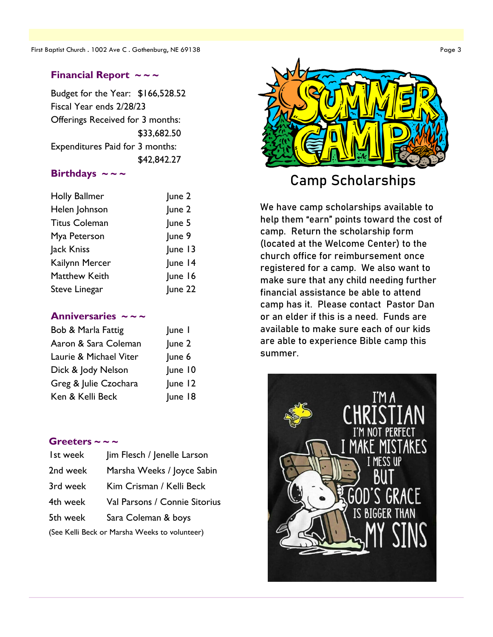#### **Financial Report ~ ~ ~**

Budget for the Year: \$166,528.52 Fiscal Year ends 2/28/23 Offerings Received for 3 months: \$33,682.50 Expenditures Paid for 3 months: \$42,842.27

#### Birthdays  $\sim$  ~ ~

| <b>Holly Ballmer</b> | June 2  |
|----------------------|---------|
| Helen Johnson        | June 2  |
| <b>Titus Coleman</b> | June 5  |
| Mya Peterson         | June 9  |
| Jack Kniss           | June 13 |
| Kailynn Mercer       | June 14 |
| <b>Matthew Keith</b> | June 16 |
| Steve Linegar        | June 22 |

#### Anniversaries ~~~

| Bob & Marla Fattig     | June I  |
|------------------------|---------|
| Aaron & Sara Coleman   | June 2  |
| Laurie & Michael Viter | June 6  |
| Dick & Jody Nelson     | June 10 |
| Greg & Julie Czochara  | June 12 |
| Ken & Kelli Beck       | June 18 |

#### **Greeters ~ ~ ~**

| Ist week                                      | Jim Flesch / Jenelle Larson   |
|-----------------------------------------------|-------------------------------|
| 2nd week                                      | Marsha Weeks / Joyce Sabin    |
| 3rd week                                      | Kim Crisman / Kelli Beck      |
| 4th week                                      | Val Parsons / Connie Sitorius |
| 5th week                                      | Sara Coleman & boys           |
| (See Kelli Beck or Marsha Weeks to volunteer) |                               |



# Camp Scholarships

We have camp scholarships available to help them "earn" points toward the cost of camp. Return the scholarship form (located at the Welcome Center) to the church office for reimbursement once registered for a camp. We also want to make sure that any child needing further financial assistance be able to attend camp has it. Please contact Pastor Dan or an elder if this is a need. Funds are available to make sure each of our kids are able to experience Bible camp this summer.